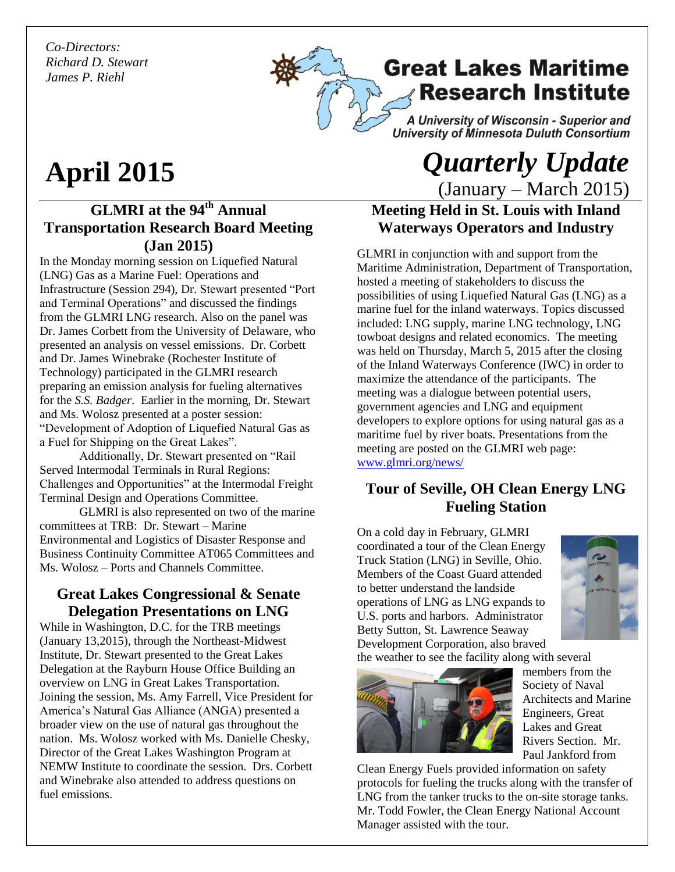*Co-Directors: Richard D. Stewart James P. Riehl*



# **April 2015**

## **GLMRI at the 94th Annual Transportation Research Board Meeting (Jan 2015)**

In the Monday morning session on Liquefied Natural (LNG) Gas as a Marine Fuel: Operations and Infrastructure (Session 294), Dr. Stewart presented "Port and Terminal Operations" and discussed the findings from the GLMRI LNG research. Also on the panel was Dr. James Corbett from the University of Delaware, who presented an analysis on vessel emissions. Dr. Corbett and Dr. James Winebrake (Rochester Institute of Technology) participated in the GLMRI research preparing an emission analysis for fueling alternatives for the *S.S. Badger*. Earlier in the morning, Dr. Stewart and Ms. Wolosz presented at a poster session: "Development of Adoption of Liquefied Natural Gas as a Fuel for Shipping on the Great Lakes".

Additionally, Dr. Stewart presented on "Rail Served Intermodal Terminals in Rural Regions: Challenges and Opportunities" at the Intermodal Freight Terminal Design and Operations Committee.

GLMRI is also represented on two of the marine committees at TRB: Dr. Stewart – Marine Environmental and Logistics of Disaster Response and Business Continuity Committee AT065 Committees and Ms. Wolosz – Ports and Channels Committee.

#### **Great Lakes Congressional & Senate Delegation Presentations on LNG**

While in Washington, D.C. for the TRB meetings (January 13,2015), through the Northeast-Midwest Institute, Dr. Stewart presented to the Great Lakes Delegation at the Rayburn House Office Building an overview on LNG in Great Lakes Transportation. Joining the session, Ms. Amy Farrell, Vice President for America's Natural Gas Alliance (ANGA) presented a broader view on the use of natural gas throughout the nation. Ms. Wolosz worked with Ms. Danielle Chesky, Director of the Great Lakes Washington Program at NEMW Institute to coordinate the session. Drs. Corbett and Winebrake also attended to address questions on fuel emissions.

## *Quarterly Update*  (January – March 2015)

## **Meeting Held in St. Louis with Inland Waterways Operators and Industry**

GLMRI in conjunction with and support from the Maritime Administration, Department of Transportation, hosted a meeting of stakeholders to discuss the possibilities of using Liquefied Natural Gas (LNG) as a marine fuel for the inland waterways. Topics discussed included: LNG supply, marine LNG technology, LNG towboat designs and related economics. The meeting was held on Thursday, March 5, 2015 after the closing of the Inland Waterways Conference (IWC) in order to maximize the attendance of the participants. The meeting was a dialogue between potential users, government agencies and LNG and equipment developers to explore options for using natural gas as a maritime fuel by river boats. Presentations from the meeting are posted on the GLMRI web page: [www.glmri.org/news/](http://www.glmri.org/news/)

## **Tour of Seville, OH Clean Energy LNG Fueling Station**

On a cold day in February, GLMRI coordinated a tour of the Clean Energy Truck Station (LNG) in Seville, Ohio. Members of the Coast Guard attended to better understand the landside operations of LNG as LNG expands to U.S. ports and harbors. Administrator Betty Sutton, St. Lawrence Seaway Development Corporation, also braved



the weather to see the facility along with several



members from the Society of Naval Architects and Marine Engineers, Great Lakes and Great Rivers Section. Mr. Paul Jankford from

Clean Energy Fuels provided information on safety protocols for fueling the trucks along with the transfer of LNG from the tanker trucks to the on-site storage tanks. Mr. Todd Fowler, the Clean Energy National Account Manager assisted with the tour.